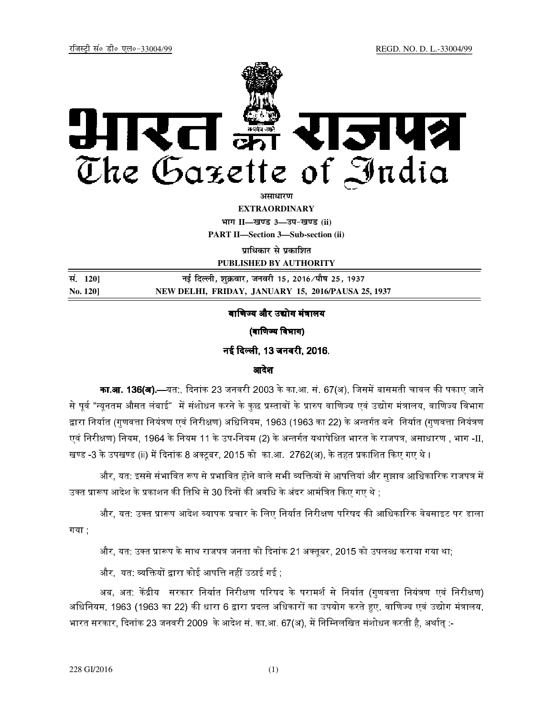

**अमाधारण** 

**EXTRAORDINARY**

**Hkkx II—[k.M 3—mi&[k.M (ii) PART II—Section 3—Sub-section (ii)** 

**प्राधिकार से प्रकाशित** 

**PUBLISHED BY AUTHORITY**

| सं. 120]        | नई दिल्ली, शुक्रवार, जनवरी 15, 2016 ∕पौष 25, 1937  |
|-----------------|----------------------------------------------------|
| <b>No. 1201</b> | NEW DELHI, FRIDAY, JANUARY 15, 2016/PAUSA 25, 1937 |

## वाणिज्य और उद्योग मंत्रालय

(वाणिज्य विभाग)

नई दिल्ली, 13 जनवरी, 2016.

## आदेश

**का.आ. 136(अ).**—यत:, दिनांक 23 जनवरी 2003 के का.आ. सं. 67(अ), जिसमें बासमती चावल की पकाए जाने से पर्व "न्यनतम औसत लंबाई" में संशोधन करने के कछ प्रस्तावों के प्रारुप वाणिज्य एवं उद्योग मंत्रालय. वाणिज्य विभाग द्वारा निर्यात (गुणवत्ता नियंत्रण एवं निरीक्षण) अधिनियम, 1963 (1963 का 22) के अन्तर्गत बने निर्यात (गुणवत्ता नियंत्रण एवं निरीक्षण) नियम, 1964 के नियम 11 के उप-नियम (2) के अन्तर्गत यथापेक्षित भारत के राजपत्र, असाधारण , भाग -II, खण्ड -3 के उपखण्ड (ii) में दिनांक 8 अक्टबर. 2015 को का.आ. 2762(अ). के तहत प्रकाशित किए गए थे ।

और. यत: इससे संभावित रूप से प्रभावित होने वाले सभी व्यक्तियों से आपत्तियां और सझाव आधिकारिक राजपत्र में उक्त प्रारूप आदेश के प्रकाशन की तिथि से 30 दिनों की अवधि के अंदर आमंत्रित किए गए थे :-

और. यत: उक्त प्रारूप आदेश व्यापक प्रचार के लिए निर्यात निरीक्षण परिषद की आधिकारिक वेबसाइट पर डाला गया ;

और, यत: उक्त प्रारूप के साथ राजपत्र जनता को दिनांक 21 अक्तबर, 2015 को उपलब्ध कराया गया था:

और, यत: व्यक्तियों द्वारा कोई आपत्ति नहीं उठाई गई ;

अब. अत: केंद्रीय सरकार निर्यात निरीक्षण परिषद के परामर्श से निर्यात (गणवत्ता नियंत्रण एवं निरीक्षण) अधिनियम. 1963 (1963 का 22) की धारा 6 द्वारा प्रदत्त अधिकारों का उपयोग करते हुए. वाणिज्य एवं उद्योग मंत्रालय. भारत सरकार, दिनांक 23 जनवरी 2009 के आदेश सं. का.आ. 67(अ), में निम्निलखित संशोधन करती है. अर्थात :-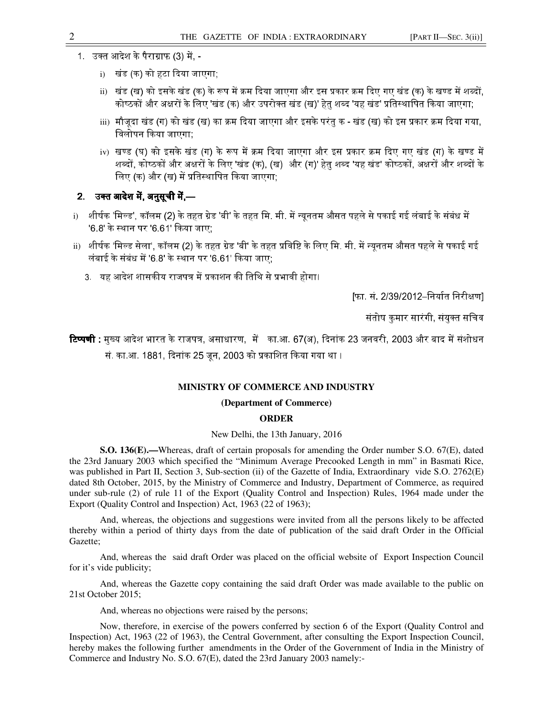- 1. उक्त आदेश के पैराग्राफ (3) में
	- i) खंड (क) को हटा दिया जाएगा;
	- ii) खंड (ख) को इसके खंड (क) के रूप में क्रम दिया जाएगा और इस प्रकार क्रम दिए गए खंड (क) के खण्ड में शब्दों, कोष्ठकों और अक्षरों के लिए 'खंड (क) और उपरोक्त खंड (ख)' हेत शब्द 'यह खंड' प्रतिस्थापित किया जाएगा:
	- iii) मौजूदा खंड (ग) को खंड (ख) का क्रम दिया जाएगा और इसके परंतु क खंड (ख) को इस प्रकार क्रम दिया गया, विलोपन किया जाएगा:
	- iv) खण्ड (घ) को इसके खंड (ग) के रूप में क्रम दिया जाएगा और इस प्रकार क्रम दिए गए खंड (ग) के खण्ड में शब्दों. कोष्ठकों और अक्षरों के लिए 'खंड (क). (ख) और (ग)' हेत शब्द 'यह खंड' कोष्ठकों. अक्षरों और शब्दों के लिए (क) और (ख) में प्रतिस्थापित किया जाएगा;

# 2. उक्त आदेश में. अनुसूची में ––

- i) शीर्षक 'मिल्ड', कॉलम (2) के तहत ग्रेड 'बी' के तहत मि. मी. में न्यूनतम औसत पहले से पकाई गई लंबाई के संबंध में '6.8' के स्थान पर '6.61' किया जाए:
- ii) शीर्षक 'मिल्ड सेला', कॉलम (2) के तहत ग्रेड 'बी' के तहत प्रविष्टि के लिए मि. मी. में न्यनतम औसत पहले से पकाई गई लंबाई के संबंध में '6.8' के स्थान पर '6.61' किया जाए:
	- 3. यह आदेश शासकीय राजपत्र में प्रकाशन की तिथि से प्रभावी होगा।

[फा. सं. 2/39/2012–निर्यात निरीक्षण]

संतोष कमार सारंगी, संयक्त सचिव

**टिप्पणी :** मख्य आदेश भारत के राजपत्र, असाधारण, में का.आ. 67(अ), दिनांक 23 जनवरी, 2003 और बाद में संशोधन सं. का.आ. 1881. दिनांक 25 जन. 2003 को प्रकाशित किया गया था ।

### **MINISTRY OF COMMERCE AND INDUSTRY**

#### **(Department of Commerce)**

### **ORDER**

New Delhi, the 13th January, 2016

**S.O. 136(E).—**Whereas, draft of certain proposals for amending the Order number S.O. 67(E), dated the 23rd January 2003 which specified the "Minimum Average Precooked Length in mm" in Basmati Rice, was published in Part II, Section 3, Sub-section (ii) of the Gazette of India, Extraordinary vide S.O. 2762(E) dated 8th October, 2015, by the Ministry of Commerce and Industry, Department of Commerce, as required under sub-rule (2) of rule 11 of the Export (Quality Control and Inspection) Rules, 1964 made under the Export (Quality Control and Inspection) Act, 1963 (22 of 1963);

And, whereas, the objections and suggestions were invited from all the persons likely to be affected thereby within a period of thirty days from the date of publication of the said draft Order in the Official Gazette;

And, whereas the said draft Order was placed on the official website of Export Inspection Council for it's vide publicity;

And, whereas the Gazette copy containing the said draft Order was made available to the public on 21st October 2015;

And, whereas no objections were raised by the persons;

Now, therefore, in exercise of the powers conferred by section 6 of the Export (Quality Control and Inspection) Act, 1963 (22 of 1963), the Central Government, after consulting the Export Inspection Council, hereby makes the following further amendments in the Order of the Government of India in the Ministry of Commerce and Industry No. S.O. 67(E), dated the 23rd January 2003 namely:-